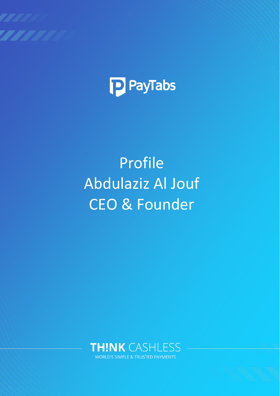



# Profile Abdulaziz Al Jouf CEO & Founder

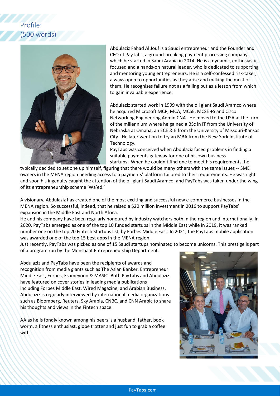## Profile: (500 words)



Abdulaziz Fahad Al Jouf is a Saudi entrepreneur and the Founder and CEO of PayTabs, a ground-breaking payment processing company which he started in Saudi Arabia in 2014. He is a dynamic, enthusiastic, focused and a hands-on natural leader, who is dedicated to supporting and mentoring young entrepreneurs. He is a self-confessed risk-taker, always open to opportunities as they arise and making the most of them. He recognises failure not as a failing but as a lesson from which to gain invaluable experience.

Abdulaziz started work in 1999 with the oil giant Saudi Aramco where he acquired Microsoft MCP, MCA, MCSE, MCSE +S and Cisco Networking Engineering Admin CNA. He moved to the USA at the turn of the millennium where he gained a BSc in IT from the University of Nebraska at Omaha, an ECE & E from the University of Missouri-Kansas City. He later went on to try an MBA from the New York Institute of Technology.

PayTabs was conceived when Abdulaziz faced problems in finding a suitable payments gateway for one of his own business startups. When he couldn't find one to meet his requirements, he

typically decided to set one up himself, figuring that there would be many others with the same issues -- SME owners in the MENA region needing access to a payments' platform tailored to their requirements. He was right and soon his ingenuity caught the attention of the oil giant Saudi Aramco, and PayTabs was taken under the wing of its entrepreneurship scheme 'Wa'ed.'

A visionary, Abdulaziz has created one of the most exciting and successful new e-commerce businesses in the MENA region. So successful, indeed, that he raised a \$20 million investment in 2016 to support PayTabs' expansion in the Middle East and North Africa.

He and his company have been regularly honoured by industry watchers both in the region and internationally. In 2020, PayTabs emerged as one of the top 10 funded startups in the Middle East while in 2019, it was ranked number one on the top 20 Fintech Startups list, by Forbes Middle East. In 2021, the PayTabs mobile application was awarded one of the top 15 best apps in the MENA region.

Just recently, PayTabs was picked as one of 15 Saudi startups nominated to become unicorns. This prestige is part of a program run by the Monshaat Entrepreneurship Department.

Abdulaziz and PayTabs have been the recipients of awards and recognition from media giants such as The Asian Banker, Entrepreneur Middle East, Forbes, Esameyoon & MASIC. Both PayTabs and Abdulaziz have featured on cover stories in leading media publications including Forbes Middle East, Wired Magazine, and Arabian Business. Abdulaziz is regularly interviewed by international media organizations such as Bloomberg, Reuters, Sky Arabia, CNBC, and CNN Arabic to share his thoughts and views in the Fintech space.

AA as he is fondly known among his peers is a husband, father, book worm, a fitness enthusiast, globe trotter and just fun to grab a coffee with.

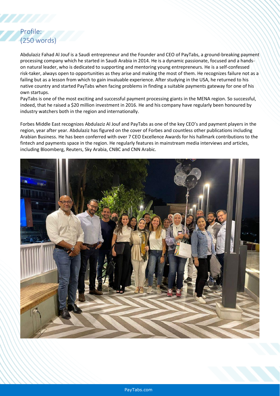### Profile: (250 words)

Abdulaziz Fahad Al Jouf is a Saudi entrepreneur and the Founder and CEO of PayTabs, a ground-breaking payment processing company which he started in Saudi Arabia in 2014. He is a dynamic passionate, focused and a handson natural leader, who is dedicated to supporting and mentoring young entrepreneurs. He is a self-confessed risk-taker, always open to opportunities as they arise and making the most of them. He recognizes failure not as a failing but as a lesson from which to gain invaluable experience. After studying in the USA, he returned to his native country and started PayTabs when facing problems in finding a suitable payments gateway for one of his own startups.

PayTabs is one of the most exciting and successful payment processing giants in the MENA region. So successful, indeed, that he raised a \$20 million investment in 2016. He and his company have regularly been honoured by industry watchers both in the region and internationally.

Forbes Middle East recognizes Abdulaziz Al Jouf and PayTabs as one of the key CEO's and payment players in the region, year after year. Abdulaziz has figured on the cover of Forbes and countless other publications including Arabian Business. He has been conferred with over 7 CEO Excellence Awards for his hallmark contributions to the fintech and payments space in the region. He regularly features in mainstream media interviews and articles, including Bloomberg, Reuters, Sky Arabia, CNBC and CNN Arabic.

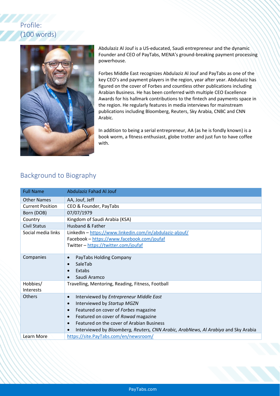# Profile: (100 words)



Abdulaziz Al Jouf is a US-educated, Saudi entrepreneur and the dynamic Founder and CEO of PayTabs, MENA's ground-breaking payment processing powerhouse.

Forbes Middle East recognizes Abdulaziz Al Jouf and PayTabs as one of the key CEO's and payment players in the region, year after year. Abdulaziz has figured on the cover of Forbes and countless other publications including Arabian Business. He has been conferred with multiple CEO Excellence Awards for his hallmark contributions to the fintech and payments space in the region. He regularly features in media interviews for mainstream publications including Bloomberg, Reuters, Sky Arabia, CNBC and CNN Arabic.

In addition to being a serial entrepreneur, AA (as he is fondly known) is a book worm, a fitness enthusiast, globe trotter and just fun to have coffee with.

#### Background to Biography

| <b>Full Name</b>        | Abdulaziz Fahad Al Jouf                                                            |
|-------------------------|------------------------------------------------------------------------------------|
| <b>Other Names</b>      | AA, Jouf, Jeff                                                                     |
| <b>Current Position</b> | CEO & Founder, PayTabs                                                             |
| Born (DOB)              | 07/07/1979                                                                         |
| Country                 | Kingdom of Saudi Arabia (KSA)                                                      |
| <b>Civil Status</b>     | Husband & Father                                                                   |
| Social media links      | LinkedIn - https://www.linkedin.com/in/abdulaziz-aljouf/                           |
|                         | Facebook - https://www.facebook.com/joufaf                                         |
|                         | Twitter - https://twitter.com/joufaf                                               |
|                         |                                                                                    |
| Companies               | PayTabs Holding Company<br>$\bullet$                                               |
|                         | SaleTab<br>$\bullet$                                                               |
|                         | Extabs<br>$\bullet$                                                                |
|                         | Saudi Aramco                                                                       |
| Hobbies/                | Travelling, Mentoring, Reading, Fitness, Football                                  |
| Interests               |                                                                                    |
| <b>Others</b>           | Interviewed by Entrepreneur Middle East<br>$\bullet$                               |
|                         | Interviewed by Startup MGZN<br>$\bullet$                                           |
|                         | Featured on cover of Forbes magazine<br>$\bullet$                                  |
|                         | Featured on cover of Rowad magazine<br>$\bullet$                                   |
|                         | Featured on the cover of Arabian Business<br>$\bullet$                             |
|                         | Interviewed by Bloomberg, Reuters, CNN Arabic, ArabNews, Al Arabiya and Sky Arabia |
| <b>Learn More</b>       | https://site.PayTabs.com/en/newsroom/                                              |